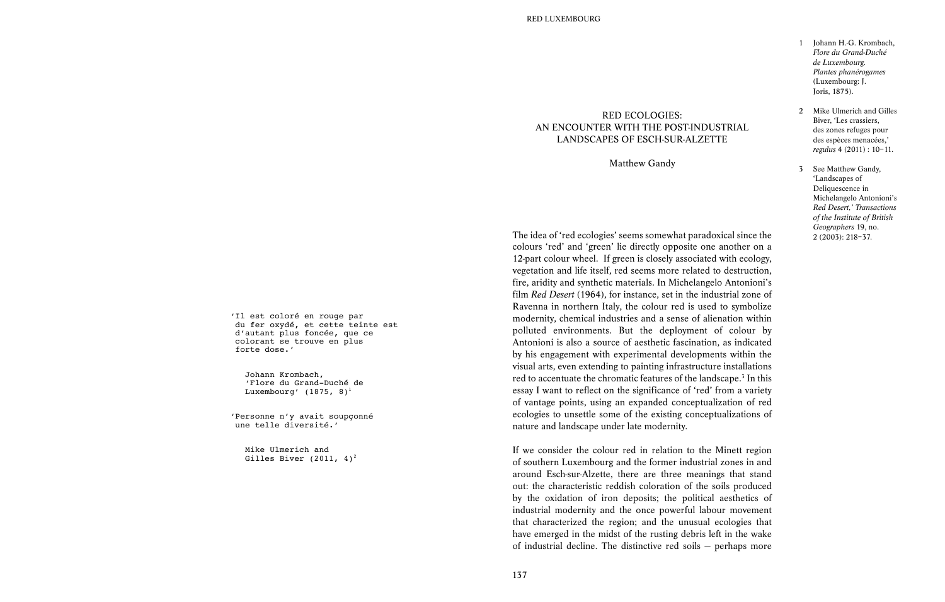- 1 Iohann H.-G. Krombach, *Flore du Grand-Duché de Luxembourg. Plantes phanérogames* (Luxembourg: J. Joris, 1875).
- 2 Mike Ulmerich and Gilles Biver, 'Les crassiers, des zones refuges pour des espèces menacées,' *regulus* 4 (2011) : 10–11.
- 3 See Matthew Gandy, 'Landscapes of Deliquescence in Michelangelo Antonioni's *Red Desert,' Transactions of the Institute of British Geographers* 19, no. 2 (2003): 218–37.

'Il est coloré en rouge par du fer oxydé, et cette teinte est d'autant plus foncée, que ce colorant se trouve en plus forte dose.'

 Johann Krombach, 'Flore du Grand-Duché de Luxembourg' (1875, 8)<sup>1</sup>

'Personne n'y avait soupçonné une telle diversité.'

 Mike Ulmerich and Gilles Biver (2011,  $4^2$ )<sup>2</sup> The idea of 'red ecologies' seems somewhat paradoxical since the colours 'red' and 'green' lie directly opposite one another on a 12-part colour wheel. If green is closely associated with ecology, vegetation and life itself, red seems more related to destruction, fire, aridity and synthetic materials. In Michelangelo Antonioni's film *Red Desert* (1964), for instance, set in the industrial zone of Ravenna in northern Italy, the colour red is used to symbolize modernity, chemical industries and a sense of alienation within polluted environments. But the deployment of colour by Antonioni is also a source of aesthetic fascination, as indicated by his engagement with experimental developments within the visual arts, even extending to painting infrastructure installations red to accentuate the chromatic features of the landscape.<sup>3</sup> In this essay I want to reflect on the significance of 'red' from a variety of vantage points, using an expanded conceptualization of red ecologies to unsettle some of the existing conceptualizations of nature and landscape under late modernity.

RED ECOLOGIES: AN ENCOUNTER WITH THE POST-INDUSTRIAL LANDSCAPES OF ESCH-SUR-ALZETTE

Matthew Gandy

If we consider the colour red in relation to the Minett region of southern Luxembourg and the former industrial zones in and around Esch-sur-Alzette, there are three meanings that stand out: the characteristic reddish coloration of the soils produced by the oxidation of iron deposits; the political aesthetics of industrial modernity and the once powerful labour movement that characterized the region; and the unusual ecologies that have emerged in the midst of the rusting debris left in the wake of industrial decline. The distinctive red soils — perhaps more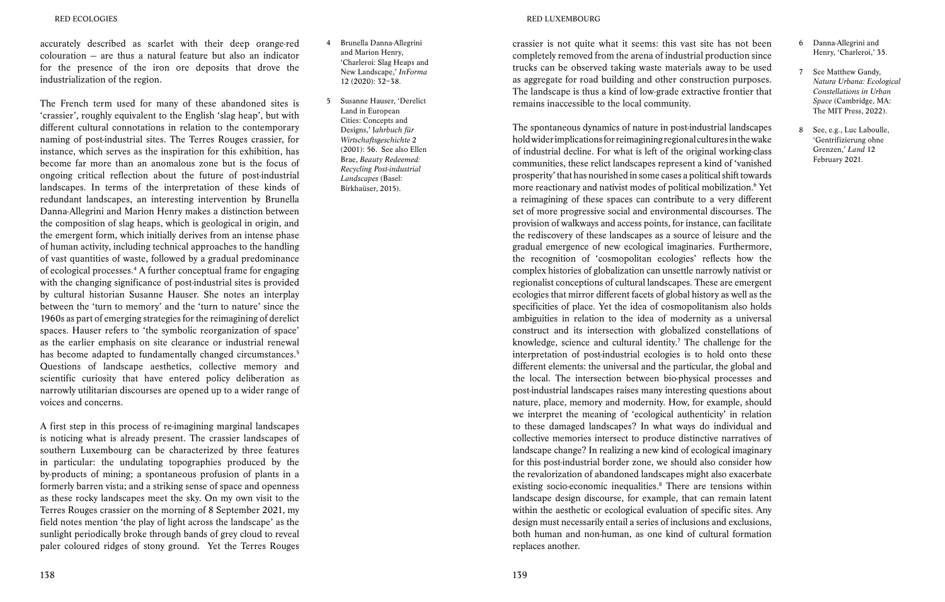accurately described as scarlet with their deep orange-red colouration — are thus a natural feature but also an indicator for the presence of the iron ore deposits that drove the industrialization of the region.

The French term used for many of these abandoned sites is 'crassier', roughly equivalent to the English 'slag heap', but with different cultural connotations in relation to the contemporary naming of post-industrial sites. The Terres Rouges crassier, for instance, which serves as the inspiration for this exhibition, has become far more than an anomalous zone but is the focus of ongoing critical reflection about the future of post-industrial landscapes. In terms of the interpretation of these kinds of redundant landscapes, an interesting intervention by Brunella Danna-Allegrini and Marion Henry makes a distinction between the composition of slag heaps, which is geological in origin, and the emergent form, which initially derives from an intense phase of human activity, including technical approaches to the handling of vast quantities of waste, followed by a gradual predominance of ecological processes.4 A further conceptual frame for engaging with the changing significance of post-industrial sites is provided by cultural historian Susanne Hauser. She notes an interplay between the 'turn to memory' and the 'turn to nature' since the 1960s as part of emerging strategies for the reimagining of derelict spaces. Hauser refers to 'the symbolic reorganization of space' as the earlier emphasis on site clearance or industrial renewal has become adapted to fundamentally changed circumstances.<sup>5</sup> Questions of landscape aesthetics, collective memory and scientific curiosity that have entered policy deliberation as narrowly utilitarian discourses are opened up to a wider range of voices and concerns.

A first step in this process of re-imagining marginal landscapes is noticing what is already present. The crassier landscapes of southern Luxembourg can be characterized by three features in particular: the undulating topographies produced by the by-products of mining; a spontaneous profusion of plants in a formerly barren vista; and a striking sense of space and openness as these rocky landscapes meet the sky. On my own visit to the Terres Rouges crassier on the morning of 8 September 2021, my field notes mention 'the play of light across the landscape' as the sunlight periodically broke through bands of grey cloud to reveal paler coloured ridges of stony ground. Yet the Terres Rouges

- 4 Brunella Danna-Allegrini and Marion Henry, 'Charleroi: Slag Heaps and New Landscape,' *InForma* 12 (2020): 32–38.
- 5 Susanne Hauser, 'Derelict Land in European Cities: Concepts and Designs,' J*ahrbuch für Wirtschaftsgeschichte* 2 (2001): 56. See also Ellen Brae, *Beauty Redeemed: Recycling Post-industrial Landscapes* (Basel: Birkhaüser, 2015).

### RED LUXEMBOURG

crassier is not quite what it seems: this vast site has not been completely removed from the arena of industrial production since trucks can be observed taking waste materials away to be used as aggregate for road building and other construction purposes. The landscape is thus a kind of low-grade extractive frontier that remains inaccessible to the local community.

The spontaneous dynamics of nature in post-industrial landscapes hold wider implications for reimagining regional cultures in the wake of industrial decline. For what is left of the original working-class communities, these relict landscapes represent a kind of 'vanished prosperity' that has nourished in some cases a political shift towards more reactionary and nativist modes of political mobilization.<sup>6</sup> Yet a reimagining of these spaces can contribute to a very different set of more progressive social and environmental discourses. The provision of walkways and access points, for instance, can facilitate the rediscovery of these landscapes as a source of leisure and the gradual emergence of new ecological imaginaries. Furthermore, the recognition of 'cosmopolitan ecologies' reflects how the complex histories of globalization can unsettle narrowly nativist or regionalist conceptions of cultural landscapes. These are emergent ecologies that mirror different facets of global history as well as the specificities of place. Yet the idea of cosmopolitanism also holds ambiguities in relation to the idea of modernity as a universal construct and its intersection with globalized constellations of knowledge, science and cultural identity.<sup>7</sup> The challenge for the interpretation of post-industrial ecologies is to hold onto these different elements: the universal and the particular, the global and the local. The intersection between bio-physical processes and post-industrial landscapes raises many interesting questions about nature, place, memory and modernity. How, for example, should we interpret the meaning of 'ecological authenticity' in relation to these damaged landscapes? In what ways do individual and collective memories intersect to produce distinctive narratives of landscape change? In realizing a new kind of ecological imaginary for this post-industrial border zone, we should also consider how the revalorization of abandoned landscapes might also exacerbate existing socio-economic inequalities.<sup>8</sup> There are tensions within landscape design discourse, for example, that can remain latent within the aesthetic or ecological evaluation of specific sites. Any design must necessarily entail a series of inclusions and exclusions, both human and non-human, as one kind of cultural formation replaces another.

- 6 Danna-Allegrini and Henry, 'Charleroi,' 35.
- 7 See Matthew Gandy, *Natura Urbana: Ecological Constellations in Urban Space* (Cambridge, MA: The MIT Press, 2022).
- 8 See, e.g., Luc Laboulle, 'Gentrifizierung ohne Grenzen,' *Land* 12 February 2021.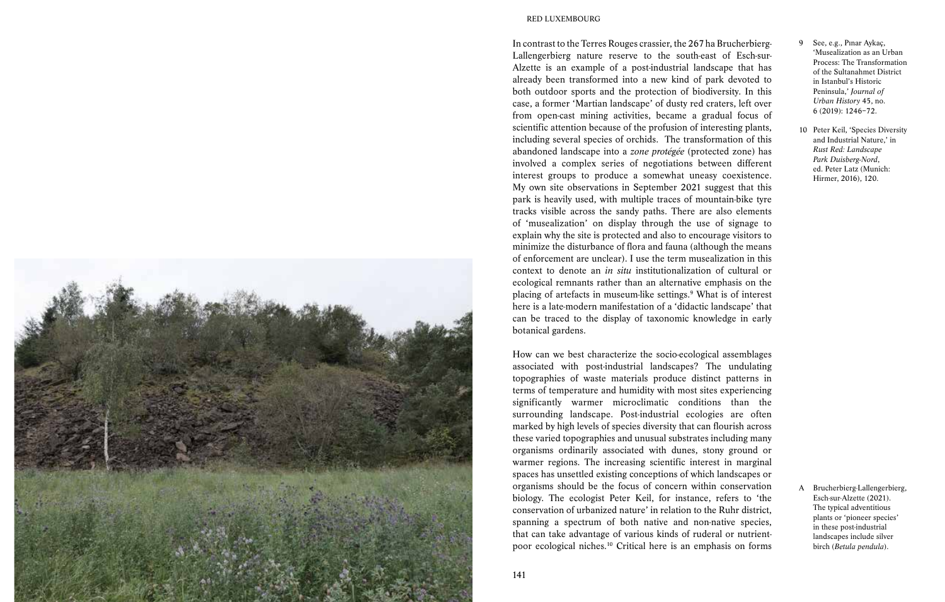

#### RED LUXEMBOURG

In contrast to the Terres Rouges crassier, the 267 ha Brucherbierg-Lallengerbierg nature reserve to the south-east of Esch-sur-Alzette is an example of a post-industrial landscape that has already been transformed into a new kind of park devoted to both outdoor sports and the protection of biodiversity. In this case, a former 'Martian landscape' of dusty red craters, left over from open-cast mining activities, became a gradual focus of scientific attention because of the profusion of interesting plants, including several species of orchids. The transformation of this abandoned landscape into a *zone protégée* (protected zone) has involved a complex series of negotiations between different interest groups to produce a somewhat uneasy coexistence. My own site observations in September 2021 suggest that this park is heavily used, with multiple traces of mountain-bike tyre tracks visible across the sandy paths. There are also elements of 'musealization' on display through the use of signage to explain why the site is protected and also to encourage visitors to minimize the disturbance of flora and fauna (although the means of enforcement are unclear). I use the term musealization in this context to denote an *in situ* institutionalization of cultural or ecological remnants rather than an alternative emphasis on the placing of artefacts in museum-like settings.<sup>9</sup> What is of interest here is a late-modern manifestation of a 'didactic landscape' that can be traced to the display of taxonomic knowledge in early botanical gardens.

How can we best characterize the socio-ecological assemblages associated with post-industrial landscapes? The undulating topographies of waste materials produce distinct patterns in terms of temperature and humidity with most sites experiencing significantly warmer microclimatic conditions than the surrounding landscape. Post-industrial ecologies are often marked by high levels of species diversity that can flourish across these varied topographies and unusual substrates including many organisms ordinarily associated with dunes, stony ground or warmer regions. The increasing scientific interest in marginal spaces has unsettled existing conceptions of which landscapes or organisms should be the focus of concern within conservation biology. The ecologist Peter Keil, for instance, refers to 'the conservation of urbanized nature' in relation to the Ruhr district, spanning a spectrum of both native and non-native species, that can take advantage of various kinds of ruderal or nutrientpoor ecological niches.10 Critical here is an emphasis on forms

- 9 See, e.g., Pınar Aykaç, 'Musealization as an Urban Process: The Transformation of the Sultanahmet District in Istanbul's Historic Peninsula,' *Journal of Urban History* 45, no. 6 (2019): 1246–72.
- 10 Peter Keil, 'Species Diversity and Industrial Nature,' in *Rust Red: Landscape Park Duisberg-Nord*, ed. Peter Latz (Munich: Hirmer, 2016), 120.

A Brucherbierg-Lallengerbierg, Esch-sur-Alzette (2021). The typical adventitious plants or 'pioneer species' in these post-industrial landscapes include silver birch (*Betula pendula*).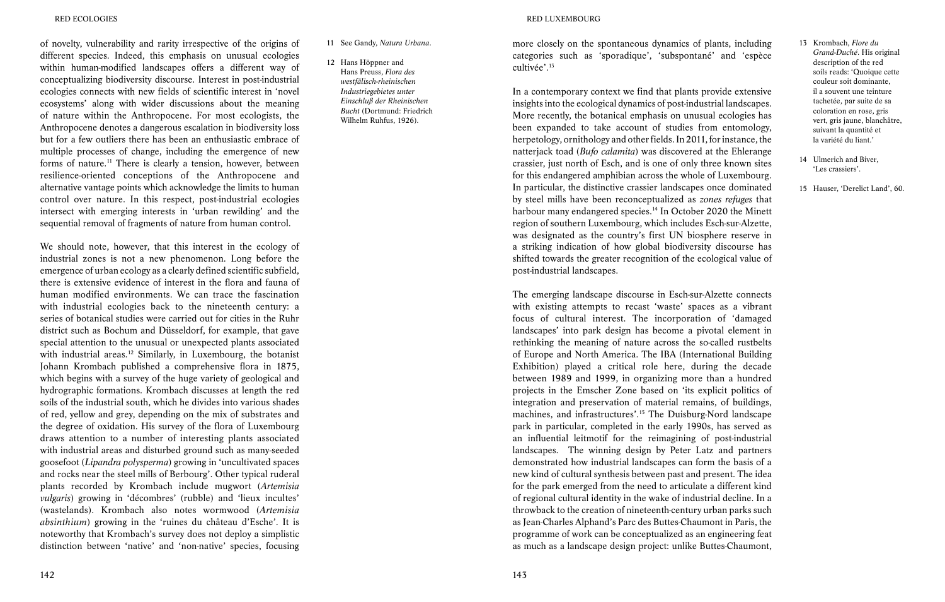### RED ECOLOGIES

of novelty, vulnerability and rarity irrespective of the origins of different species. Indeed, this emphasis on unusual ecologies within human-modified landscapes offers a different way of conceptualizing biodiversity discourse. Interest in post-industrial ecologies connects with new fields of scientific interest in 'novel ecosystems' along with wider discussions about the meaning of nature within the Anthropocene. For most ecologists, the Anthropocene denotes a dangerous escalation in biodiversity loss but for a few outliers there has been an enthusiastic embrace of multiple processes of change, including the emergence of new forms of nature.11 There is clearly a tension, however, between resilience-oriented conceptions of the Anthropocene and alternative vantage points which acknowledge the limits to human control over nature. In this respect, post-industrial ecologies intersect with emerging interests in 'urban rewilding' and the sequential removal of fragments of nature from human control.

We should note, however, that this interest in the ecology of industrial zones is not a new phenomenon. Long before the emergence of urban ecology as a clearly defined scientific subfield, there is extensive evidence of interest in the flora and fauna of human modified environments. We can trace the fascination with industrial ecologies back to the nineteenth century: a series of botanical studies were carried out for cities in the Ruhr district such as Bochum and Düsseldorf, for example, that gave special attention to the unusual or unexpected plants associated with industrial areas.<sup>12</sup> Similarly, in Luxembourg, the botanist Johann Krombach published a comprehensive flora in 1875, which begins with a survey of the huge variety of geological and hydrographic formations. Krombach discusses at length the red soils of the industrial south, which he divides into various shades of red, yellow and grey, depending on the mix of substrates and the degree of oxidation. His survey of the flora of Luxembourg draws attention to a number of interesting plants associated with industrial areas and disturbed ground such as many-seeded goosefoot (*Lipandra polysperma*) growing in 'uncultivated spaces and rocks near the steel mills of Berbourg'. Other typical ruderal plants recorded by Krombach include mugwort (*Artemisia vulgaris*) growing in 'décombres' (rubble) and 'lieux incultes' (wastelands). Krombach also notes wormwood (*Artemisia absinthium*) growing in the 'ruines du château d'Esche'. It is noteworthy that Krombach's survey does not deploy a simplistic distinction between 'native' and 'non-native' species, focusing

## 11 See Gandy, *Natura Urbana*.

12 Hans Höppner and Hans Preuss, *Flora des westfälisch-rheinischen Industriegebietes unter Einschluß der Rheinischen Bucht* (Dortmund: Friedrich Wilhelm Ruhfus, 1926).

#### RED LUXEMBOURG

more closely on the spontaneous dynamics of plants, including categories such as 'sporadique', 'subspontané' and 'espèce cultivée'.13

In a contemporary context we find that plants provide extensive insights into the ecological dynamics of post-industrial landscapes. More recently, the botanical emphasis on unusual ecologies has been expanded to take account of studies from entomology, herpetology, ornithology and other fields. In 2011, for instance, the natterjack toad (*Bufo calamita*) was discovered at the Ehlerange crassier, just north of Esch, and is one of only three known sites for this endangered amphibian across the whole of Luxembourg. In particular, the distinctive crassier landscapes once dominated by steel mills have been reconceptualized as *zones refuges* that harbour many endangered species.<sup>14</sup> In October 2020 the Minett region of southern Luxembourg, which includes Esch-sur-Alzette, was designated as the country's first UN biosphere reserve in a striking indication of how global biodiversity discourse has shifted towards the greater recognition of the ecological value of post-industrial landscapes.

The emerging landscape discourse in Esch-sur-Alzette connects with existing attempts to recast 'waste' spaces as a vibrant focus of cultural interest. The incorporation of 'damaged landscapes' into park design has become a pivotal element in rethinking the meaning of nature across the so-called rustbelts of Europe and North America. The IBA (International Building Exhibition) played a critical role here, during the decade between 1989 and 1999, in organizing more than a hundred projects in the Emscher Zone based on 'its explicit politics of integration and preservation of material remains, of buildings, machines, and infrastructures'.15 The Duisburg-Nord landscape park in particular, completed in the early 1990s, has served as an influential leitmotif for the reimagining of post-industrial landscapes. The winning design by Peter Latz and partners demonstrated how industrial landscapes can form the basis of a new kind of cultural synthesis between past and present. The idea for the park emerged from the need to articulate a different kind of regional cultural identity in the wake of industrial decline. In a throwback to the creation of nineteenth-century urban parks such as Jean-Charles Alphand's Parc des Buttes-Chaumont in Paris, the programme of work can be conceptualized as an engineering feat as much as a landscape design project: unlike Buttes-Chaumont,

- 13 Krombach, *Flore du Grand-Duché*. His original description of the red soils reads: 'Quoique cette couleur soit dominante, il a souvent une teinture tachetée, par suite de sa coloration en rose, gris vert, gris jaune, blanchâtre, suivant la quantité et la variété du liant.'
- 14 Ulmerich and Biver, 'Les crassiers'.
- 15 Hauser, 'Derelict Land', 60.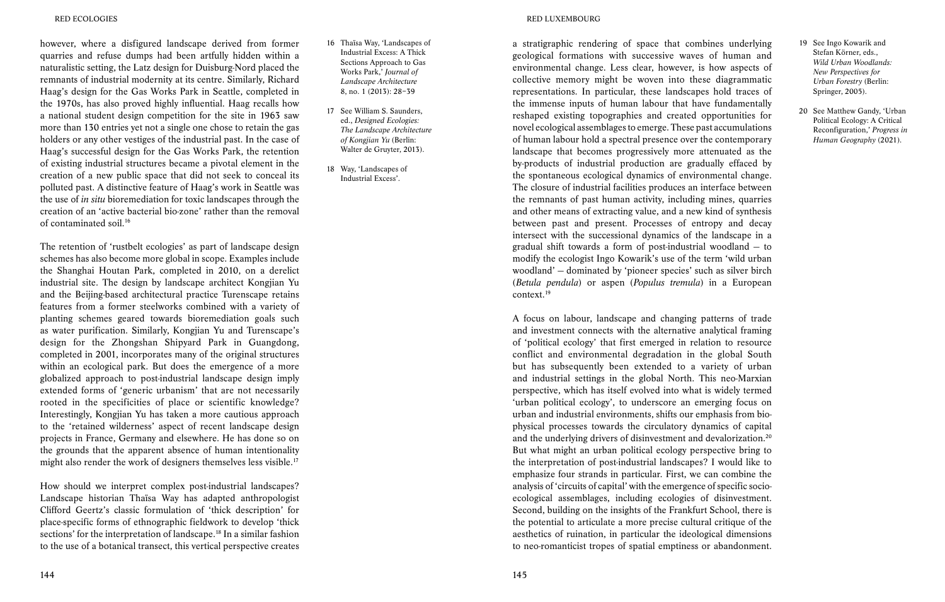however, where a disfigured landscape derived from former quarries and refuse dumps had been artfully hidden within a naturalistic setting, the Latz design for Duisburg-Nord placed the remnants of industrial modernity at its centre. Similarly, Richard Haag's design for the Gas Works Park in Seattle, completed in the 1970s, has also proved highly influential. Haag recalls how a national student design competition for the site in 1963 saw more than 130 entries yet not a single one chose to retain the gas holders or any other vestiges of the industrial past. In the case of Haag's successful design for the Gas Works Park, the retention of existing industrial structures became a pivotal element in the creation of a new public space that did not seek to conceal its polluted past. A distinctive feature of Haag's work in Seattle was the use of *in situ* bioremediation for toxic landscapes through the creation of an 'active bacterial bio-zone' rather than the removal of contaminated soil.16

The retention of 'rustbelt ecologies' as part of landscape design schemes has also become more global in scope. Examples include the Shanghai Houtan Park, completed in 2010, on a derelict industrial site. The design by landscape architect Kongjian Yu and the Beijing-based architectural practice Turenscape retains features from a former steelworks combined with a variety of planting schemes geared towards bioremediation goals such as water purification. Similarly, Kongjian Yu and Turenscape's design for the Zhongshan Shipyard Park in Guangdong, completed in 2001, incorporates many of the original structures within an ecological park. But does the emergence of a more globalized approach to post-industrial landscape design imply extended forms of 'generic urbanism' that are not necessarily rooted in the specificities of place or scientific knowledge? Interestingly, Kongjian Yu has taken a more cautious approach to the 'retained wilderness' aspect of recent landscape design projects in France, Germany and elsewhere. He has done so on the grounds that the apparent absence of human intentionality might also render the work of designers themselves less visible.<sup>17</sup>

How should we interpret complex post-industrial landscapes? Landscape historian Thaïsa Way has adapted anthropologist Clifford Geertz's classic formulation of 'thick description' for place-specific forms of ethnographic fieldwork to develop 'thick sections' for the interpretation of landscape.<sup>18</sup> In a similar fashion to the use of a botanical transect, this vertical perspective creates

- 16 Thaïsa Way, 'Landscapes of Industrial Excess: A Thick Sections Approach to Gas Works Park,' *Journal of Landscape Architecture* 8, no. 1 (2013): 28–39
- 17 See William S. Saunders, ed., *Designed Ecologies: The Landscape Architecture of Kongjian Yu* (Berlin: Walter de Gruyter, 2013).
- 18 Way, 'Landscapes of Industrial Excess'.

a stratigraphic rendering of space that combines underlying geological formations with successive waves of human and environmental change. Less clear, however, is how aspects of collective memory might be woven into these diagrammatic representations. In particular, these landscapes hold traces of the immense inputs of human labour that have fundamentally reshaped existing topographies and created opportunities for novel ecological assemblages to emerge. These past accumulations of human labour hold a spectral presence over the contemporary landscape that becomes progressively more attenuated as the by-products of industrial production are gradually effaced by the spontaneous ecological dynamics of environmental change. The closure of industrial facilities produces an interface between the remnants of past human activity, including mines, quarries and other means of extracting value, and a new kind of synthesis between past and present. Processes of entropy and decay intersect with the successional dynamics of the landscape in a gradual shift towards a form of post-industrial woodland — to modify the ecologist Ingo Kowarik's use of the term 'wild urban woodland' — dominated by 'pioneer species' such as silver birch (*Betula pendula*) or aspen (*Populus tremula*) in a European context.19

A focus on labour, landscape and changing patterns of trade and investment connects with the alternative analytical framing of 'political ecology' that first emerged in relation to resource conflict and environmental degradation in the global South but has subsequently been extended to a variety of urban and industrial settings in the global North. This neo-Marxian perspective, which has itself evolved into what is widely termed 'urban political ecology', to underscore an emerging focus on urban and industrial environments, shifts our emphasis from biophysical processes towards the circulatory dynamics of capital and the underlying drivers of disinvestment and devalorization.20 But what might an urban political ecology perspective bring to the interpretation of post-industrial landscapes? I would like to emphasize four strands in particular. First, we can combine the analysis of 'circuits of capital' with the emergence of specific socioecological assemblages, including ecologies of disinvestment. Second, building on the insights of the Frankfurt School, there is the potential to articulate a more precise cultural critique of the aesthetics of ruination, in particular the ideological dimensions to neo-romanticist tropes of spatial emptiness or abandonment.

- 19 See Ingo Kowarik and Stefan Körner, eds., *Wild Urban Woodlands: New Perspectives for Urban Forestry* (Berlin: Springer, 2005).
- 20 See Matthew Gandy, 'Urban Political Ecology: A Critical Reconfiguration,' *Progress in Human Geography* (2021).